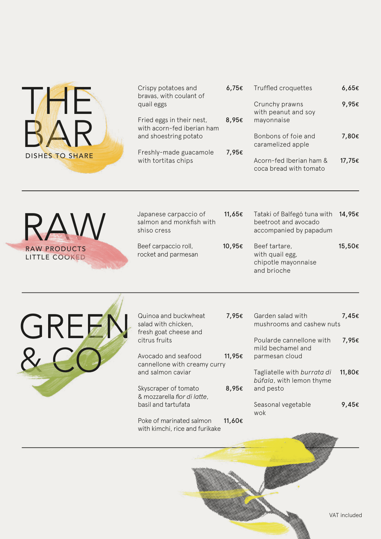

| Crispy potatoes and<br>bravas, with coulant of          | 6.75€ | Truffled croquettes                               | 6,65€  |
|---------------------------------------------------------|-------|---------------------------------------------------|--------|
| quail eggs                                              |       | Crunchy prawns<br>with peanut and soy             | 9,95€  |
| Fried eggs in their nest,<br>with acorn-fed iberian ham | 8,95€ | mayonnaise                                        |        |
| and shoestring potato                                   |       | Bonbons of foie and<br>caramelized apple          | 7,80€  |
| Freshly-made guacamole                                  | 7,95€ |                                                   |        |
| with tortitas chips                                     |       | Acorn-fed Iberian ham &<br>coca bread with tomato | 17,75€ |

LITTLE COOKED  $RAN$ 

| Japanese carpaccio of    | 11,65€ |
|--------------------------|--------|
| salmon and monkfish with |        |
| shiso cress              |        |
|                          |        |

Beef carpaccio roll, rocket and parmesan

- Tataki of Balfegó tuna with 14,95€ beetroot and avocado accompanied by papadum
- Beef tartare, with quail egg, chipotle mayonnaise and brioche 10,95€ RAW PRODUCTS Beef carpaccio roll, 10,95€ Beef tartare, 15,50€



| Quinoa and buckwheat  |  |
|-----------------------|--|
| salad with chicken.   |  |
| fresh goat cheese and |  |
| citrus fruits         |  |
|                       |  |

Avocado and seafood cannellone with creamy curry and salmon caviar 11,95€

Skyscraper of tomato & mozzarella *fior di latte*, basil and tartufata 8,95€

Poke of marinated salmon with kimchi, rice and furikake 11,60€

Garden salad with mushrooms and cashew nuts Poularde cannellone with mild bechamel and parmesan cloud Tagliatelle with *burrata di búfala*, with lemon thyme and pesto Seasonal vegetable 7,95€ 7,45€ 7,95€ 11,80€ 9,45€

wok